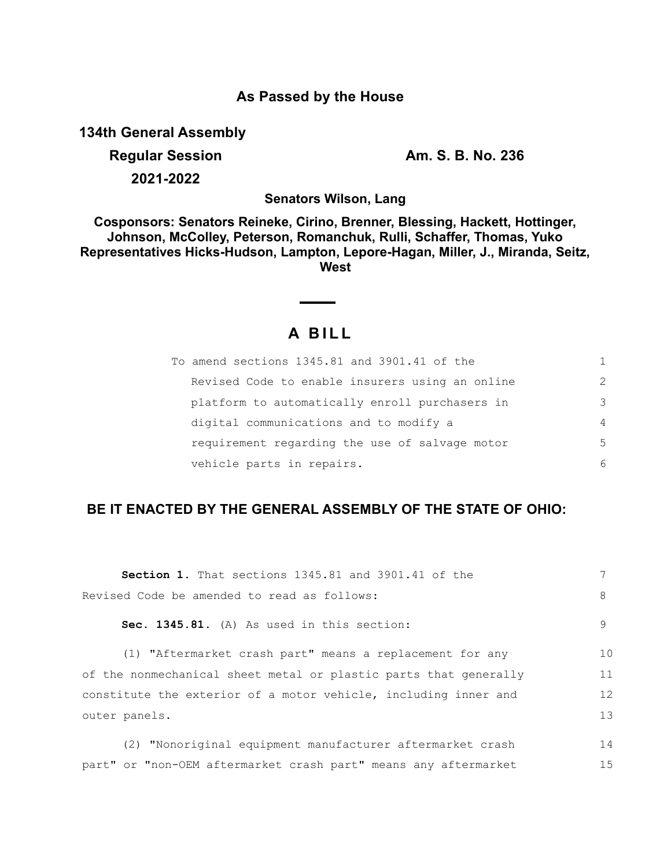## **As Passed by the House**

**134th General Assembly**

**Regular Session Am. S. B. No. 236 2021-2022**

15

**Senators Wilson, Lang**

**Cosponsors: Senators Reineke, Cirino, Brenner, Blessing, Hackett, Hottinger, Johnson, McColley, Peterson, Romanchuk, Rulli, Schaffer, Thomas, Yuko Representatives Hicks-Hudson, Lampton, Lepore-Hagan, Miller, J., Miranda, Seitz, West**

## **A B I L L**

| To amend sections 1345.81 and 3901.41 of the    | 1              |
|-------------------------------------------------|----------------|
| Revised Code to enable insurers using an online | $\mathcal{L}$  |
| platform to automatically enroll purchasers in  | 3              |
| digital communications and to modify a          | $\overline{4}$ |
| requirement regarding the use of salvage motor  | .5             |
| vehicle parts in repairs.                       | 6              |

## **BE IT ENACTED BY THE GENERAL ASSEMBLY OF THE STATE OF OHIO:**

| <b>Section 1.</b> That sections 1345.81 and 3901.41 of the       |                |
|------------------------------------------------------------------|----------------|
| Revised Code be amended to read as follows:                      | 8              |
| Sec. 1345.81. (A) As used in this section:                       | 9              |
| (1) "Aftermarket crash part" means a replacement for any         | 1 <sub>0</sub> |
| of the nonmechanical sheet metal or plastic parts that generally | 11             |
| constitute the exterior of a motor vehicle, including inner and  | 12             |
| outer panels.                                                    |                |
| (2) "Nonoriginal equipment manufacturer aftermarket crash        | 14             |

part" or "non-OEM aftermarket crash part" means any aftermarket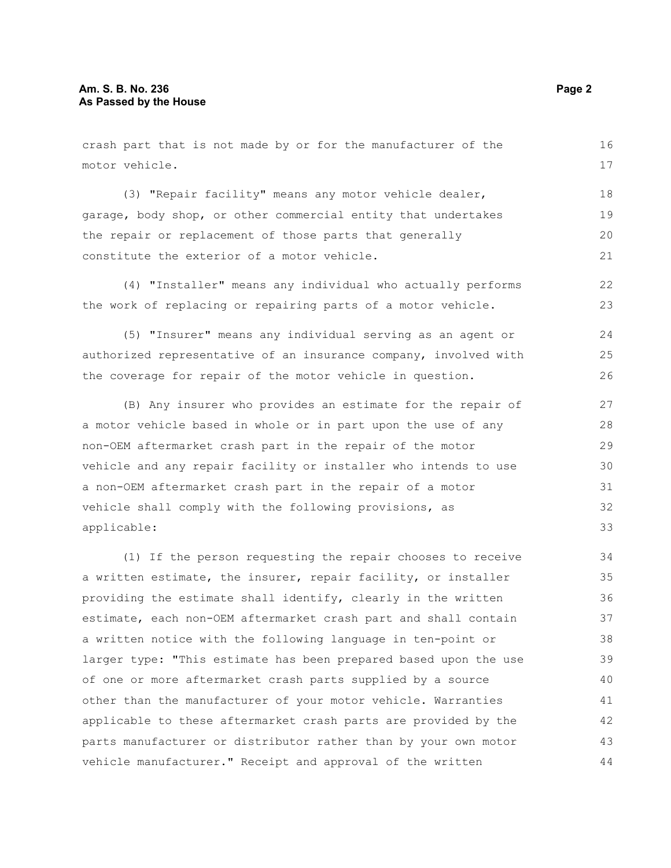crash part that is not made by or for the manufacturer of the motor vehicle. (3) "Repair facility" means any motor vehicle dealer, garage, body shop, or other commercial entity that undertakes the repair or replacement of those parts that generally constitute the exterior of a motor vehicle. (4) "Installer" means any individual who actually performs the work of replacing or repairing parts of a motor vehicle. (5) "Insurer" means any individual serving as an agent or authorized representative of an insurance company, involved with the coverage for repair of the motor vehicle in question. (B) Any insurer who provides an estimate for the repair of a motor vehicle based in whole or in part upon the use of any (1) If the person requesting the repair chooses to receive a written estimate, the insurer, repair facility, or installer providing the estimate shall identify, clearly in the written 16 17 18 19 20 21 22 23  $24$ 25 26 27 28 29 30 31 32 33 34 35 36 37 38 39

non-OEM aftermarket crash part in the repair of the motor vehicle and any repair facility or installer who intends to use a non-OEM aftermarket crash part in the repair of a motor vehicle shall comply with the following provisions, as applicable:

estimate, each non-OEM aftermarket crash part and shall contain a written notice with the following language in ten-point or larger type: "This estimate has been prepared based upon the use of one or more aftermarket crash parts supplied by a source other than the manufacturer of your motor vehicle. Warranties applicable to these aftermarket crash parts are provided by the parts manufacturer or distributor rather than by your own motor vehicle manufacturer." Receipt and approval of the written 40 41 42 43 44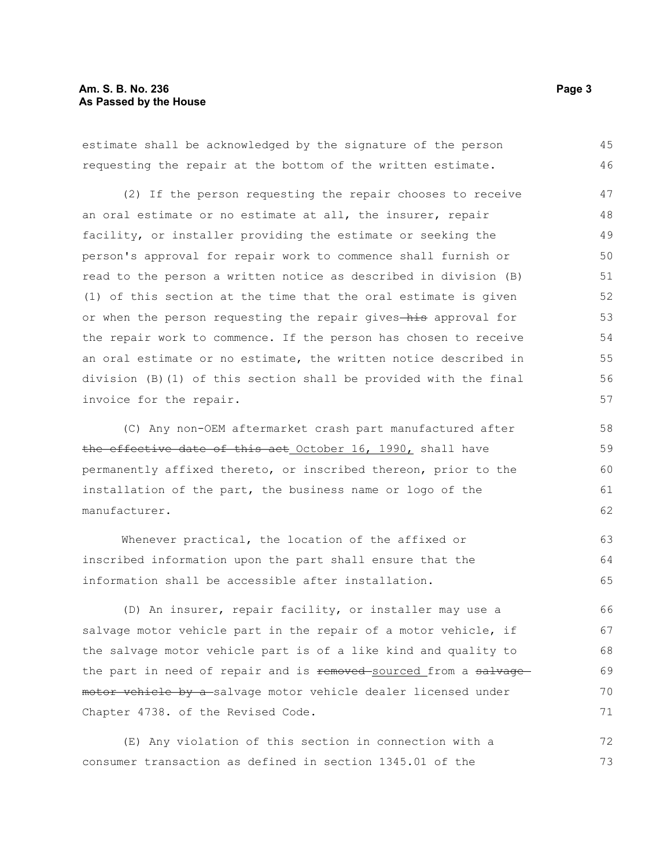estimate shall be acknowledged by the signature of the person requesting the repair at the bottom of the written estimate. 45 46

(2) If the person requesting the repair chooses to receive an oral estimate or no estimate at all, the insurer, repair facility, or installer providing the estimate or seeking the person's approval for repair work to commence shall furnish or read to the person a written notice as described in division (B) (1) of this section at the time that the oral estimate is given or when the person requesting the repair gives-his approval for the repair work to commence. If the person has chosen to receive an oral estimate or no estimate, the written notice described in division (B)(1) of this section shall be provided with the final invoice for the repair.

(C) Any non-OEM aftermarket crash part manufactured after the effective date of this act October 16, 1990, shall have permanently affixed thereto, or inscribed thereon, prior to the installation of the part, the business name or logo of the manufacturer.

Whenever practical, the location of the affixed or inscribed information upon the part shall ensure that the information shall be accessible after installation. 63 64 65

(D) An insurer, repair facility, or installer may use a salvage motor vehicle part in the repair of a motor vehicle, if the salvage motor vehicle part is of a like kind and quality to the part in need of repair and is removed-sourced from a salvagemotor vehicle by a-salvage motor vehicle dealer licensed under Chapter 4738. of the Revised Code. 66 67 68 69 70 71

(E) Any violation of this section in connection with a consumer transaction as defined in section 1345.01 of the 72 73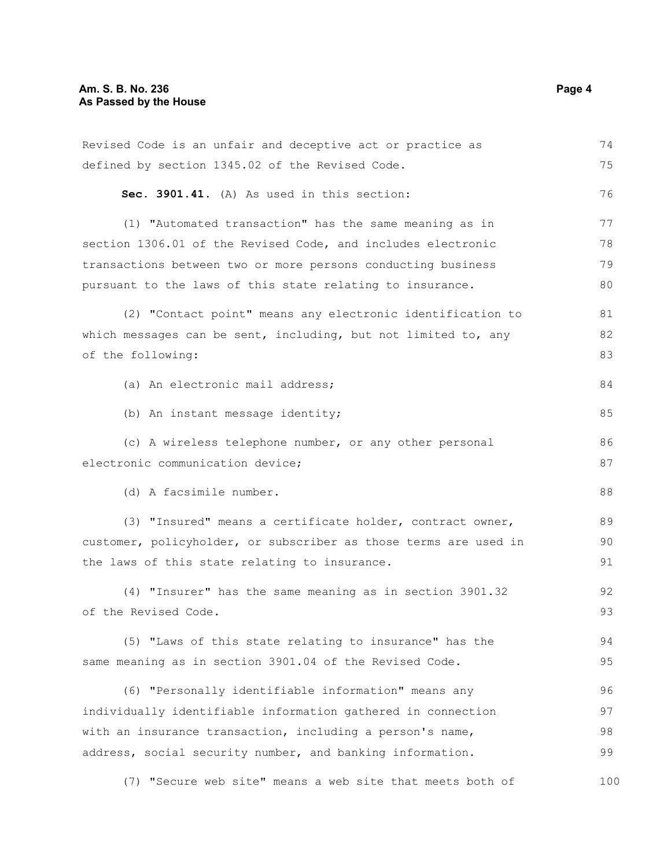| Revised Code is an unfair and deceptive act or practice as       | 74  |  |
|------------------------------------------------------------------|-----|--|
| defined by section 1345.02 of the Revised Code.                  | 75  |  |
| Sec. 3901.41. (A) As used in this section:                       | 76  |  |
| (1) "Automated transaction" has the same meaning as in           | 77  |  |
| section 1306.01 of the Revised Code, and includes electronic     | 78  |  |
| transactions between two or more persons conducting business     | 79  |  |
| pursuant to the laws of this state relating to insurance.        | 80  |  |
| (2) "Contact point" means any electronic identification to       | 81  |  |
| which messages can be sent, including, but not limited to, any   | 82  |  |
| of the following:                                                | 83  |  |
| (a) An electronic mail address;                                  | 84  |  |
| (b) An instant message identity;                                 | 85  |  |
| (c) A wireless telephone number, or any other personal           | 86  |  |
| electronic communication device;                                 |     |  |
| (d) A facsimile number.                                          | 88  |  |
| (3) "Insured" means a certificate holder, contract owner,        | 89  |  |
| customer, policyholder, or subscriber as those terms are used in | 90  |  |
| the laws of this state relating to insurance.                    |     |  |
| (4) "Insurer" has the same meaning as in section 3901.32         | 92  |  |
| of the Revised Code.                                             | 93  |  |
| (5) "Laws of this state relating to insurance" has the           | 94  |  |
| same meaning as in section 3901.04 of the Revised Code.          | 95  |  |
| (6) "Personally identifiable information" means any              | 96  |  |
| individually identifiable information gathered in connection     |     |  |
| with an insurance transaction, including a person's name,        |     |  |
| address, social security number, and banking information.        | 99  |  |
| (7) "Secure web site" means a web site that meets both of        | 100 |  |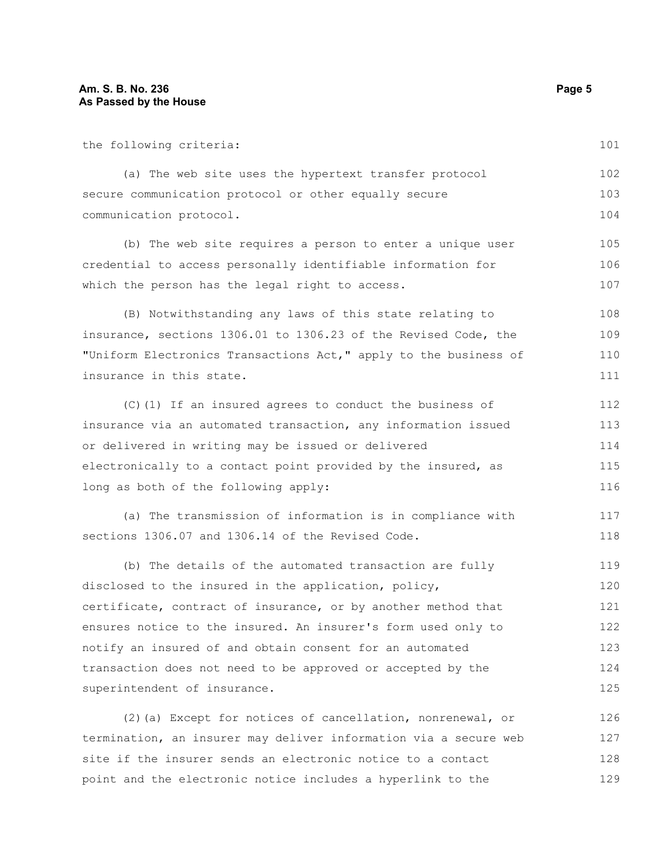the following criteria:

(a) The web site uses the hypertext transfer protocol secure communication protocol or other equally secure communication protocol. 102 103 104

(b) The web site requires a person to enter a unique user credential to access personally identifiable information for which the person has the legal right to access.

(B) Notwithstanding any laws of this state relating to insurance, sections 1306.01 to 1306.23 of the Revised Code, the "Uniform Electronics Transactions Act," apply to the business of insurance in this state. 108 109 110 111

(C)(1) If an insured agrees to conduct the business of insurance via an automated transaction, any information issued or delivered in writing may be issued or delivered electronically to a contact point provided by the insured, as long as both of the following apply:

(a) The transmission of information is in compliance with sections 1306.07 and 1306.14 of the Revised Code. 117 118

(b) The details of the automated transaction are fully disclosed to the insured in the application, policy, certificate, contract of insurance, or by another method that ensures notice to the insured. An insurer's form used only to notify an insured of and obtain consent for an automated transaction does not need to be approved or accepted by the superintendent of insurance. 119 120 121 122 123 124 125

(2)(a) Except for notices of cancellation, nonrenewal, or termination, an insurer may deliver information via a secure web site if the insurer sends an electronic notice to a contact point and the electronic notice includes a hyperlink to the 126 127 128 129

101

105 106 107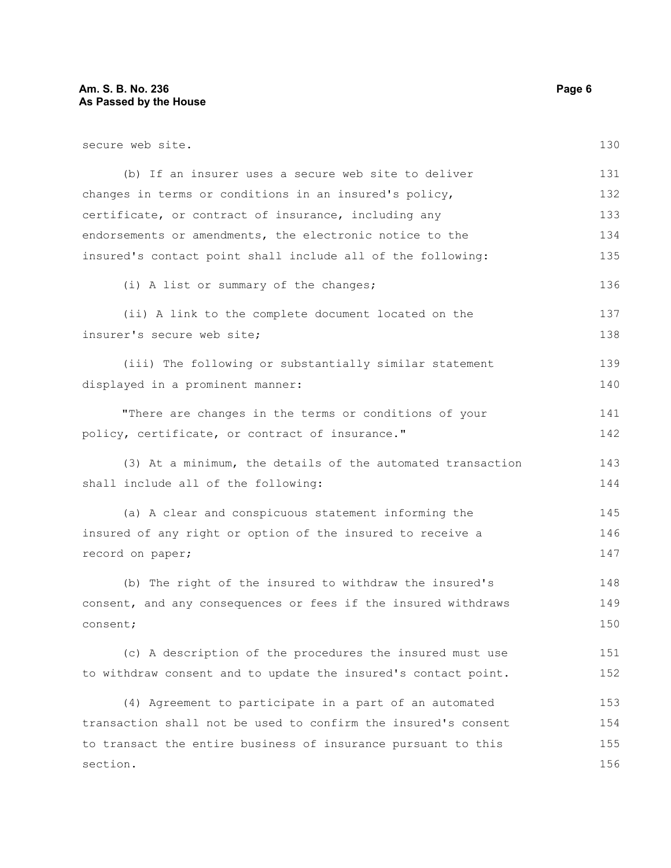secure web site.

(b) If an insurer uses a secure web site to deliver changes in terms or conditions in an insured's policy, certificate, or contract of insurance, including any endorsements or amendments, the electronic notice to the insured's contact point shall include all of the following: (i) A list or summary of the changes; (ii) A link to the complete document located on the insurer's secure web site; (iii) The following or substantially similar statement displayed in a prominent manner: "There are changes in the terms or conditions of your policy, certificate, or contract of insurance." (3) At a minimum, the details of the automated transaction shall include all of the following:

(a) A clear and conspicuous statement informing the insured of any right or option of the insured to receive a record on paper; 145 146 147

(b) The right of the insured to withdraw the insured's consent, and any consequences or fees if the insured withdraws consent; 148 149 150

(c) A description of the procedures the insured must use to withdraw consent and to update the insured's contact point. 151 152

(4) Agreement to participate in a part of an automated transaction shall not be used to confirm the insured's consent to transact the entire business of insurance pursuant to this section. 153 154 155 156

130

136

137 138

139 140

141 142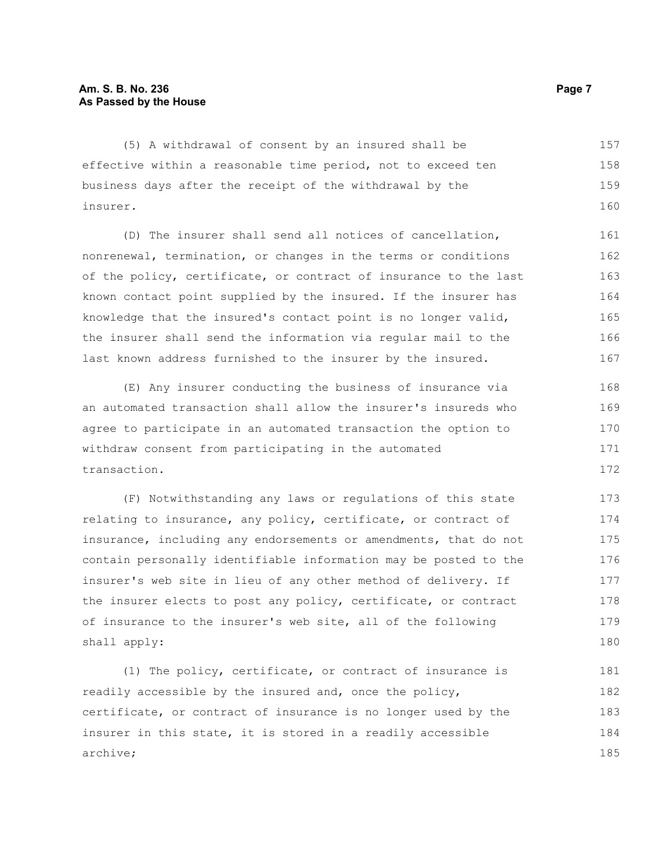(5) A withdrawal of consent by an insured shall be effective within a reasonable time period, not to exceed ten business days after the receipt of the withdrawal by the insurer. 157 158 159 160

(D) The insurer shall send all notices of cancellation, nonrenewal, termination, or changes in the terms or conditions of the policy, certificate, or contract of insurance to the last known contact point supplied by the insured. If the insurer has knowledge that the insured's contact point is no longer valid, the insurer shall send the information via regular mail to the last known address furnished to the insurer by the insured. 161 162 163 164 165 166 167

(E) Any insurer conducting the business of insurance via an automated transaction shall allow the insurer's insureds who agree to participate in an automated transaction the option to withdraw consent from participating in the automated transaction. 168 169 170 171 172

(F) Notwithstanding any laws or regulations of this state relating to insurance, any policy, certificate, or contract of insurance, including any endorsements or amendments, that do not contain personally identifiable information may be posted to the insurer's web site in lieu of any other method of delivery. If the insurer elects to post any policy, certificate, or contract of insurance to the insurer's web site, all of the following shall apply: 173 174 175 176 177 178 179 180

(1) The policy, certificate, or contract of insurance is readily accessible by the insured and, once the policy, certificate, or contract of insurance is no longer used by the insurer in this state, it is stored in a readily accessible archive; 181 182 183 184 185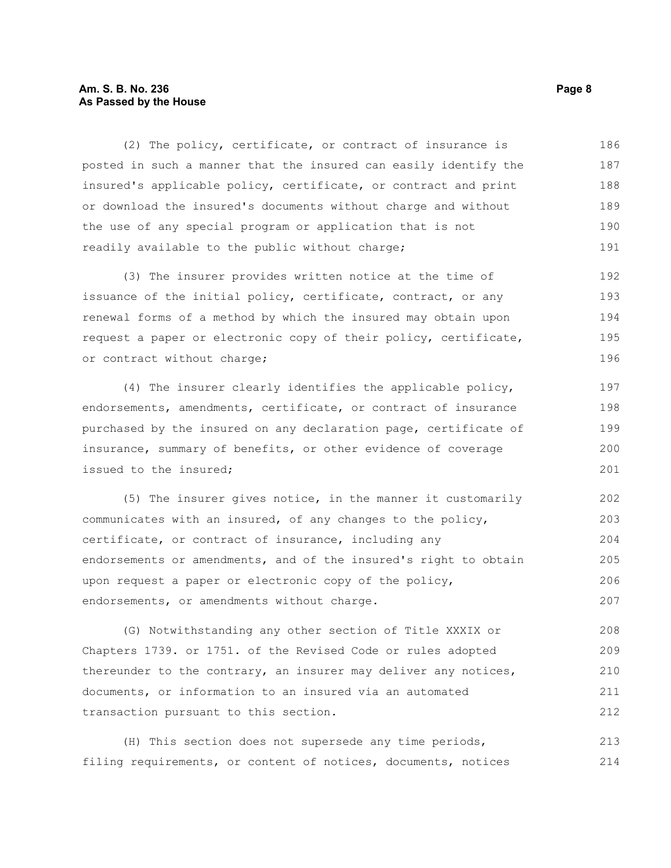## **Am. S. B. No. 236 Page 8 As Passed by the House**

(2) The policy, certificate, or contract of insurance is posted in such a manner that the insured can easily identify the insured's applicable policy, certificate, or contract and print or download the insured's documents without charge and without the use of any special program or application that is not readily available to the public without charge; 186 187 188 189 190 191

(3) The insurer provides written notice at the time of issuance of the initial policy, certificate, contract, or any renewal forms of a method by which the insured may obtain upon request a paper or electronic copy of their policy, certificate, or contract without charge; 192 193 194 195 196

(4) The insurer clearly identifies the applicable policy, endorsements, amendments, certificate, or contract of insurance purchased by the insured on any declaration page, certificate of insurance, summary of benefits, or other evidence of coverage issued to the insured;

(5) The insurer gives notice, in the manner it customarily communicates with an insured, of any changes to the policy, certificate, or contract of insurance, including any endorsements or amendments, and of the insured's right to obtain upon request a paper or electronic copy of the policy, endorsements, or amendments without charge. 202 203 204 205 206 207

(G) Notwithstanding any other section of Title XXXIX or Chapters 1739. or 1751. of the Revised Code or rules adopted thereunder to the contrary, an insurer may deliver any notices, documents, or information to an insured via an automated transaction pursuant to this section. 208 209 210 211 212

(H) This section does not supersede any time periods, filing requirements, or content of notices, documents, notices 213 214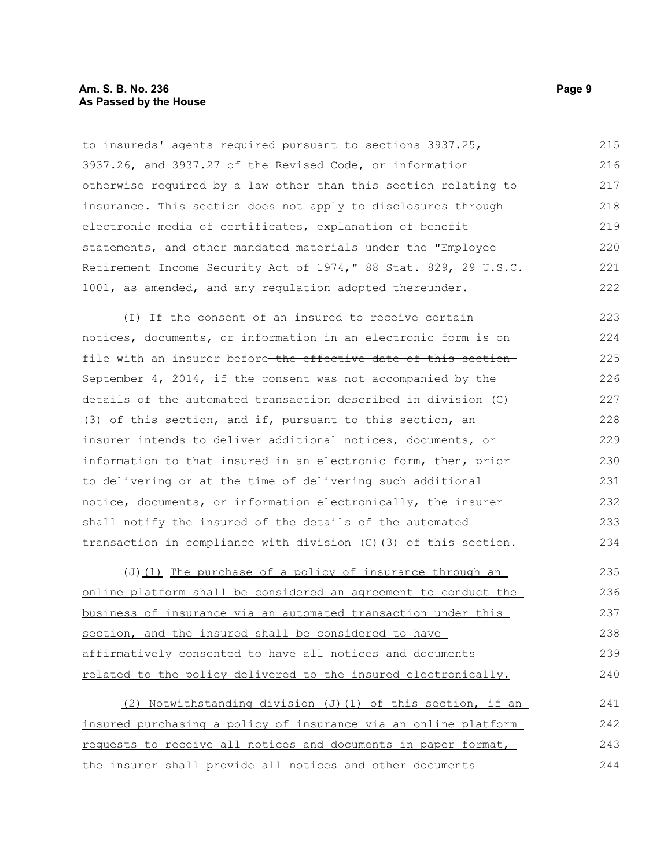to insureds' agents required pursuant to sections 3937.25, 3937.26, and 3937.27 of the Revised Code, or information otherwise required by a law other than this section relating to insurance. This section does not apply to disclosures through electronic media of certificates, explanation of benefit statements, and other mandated materials under the "Employee Retirement Income Security Act of 1974," 88 Stat. 829, 29 U.S.C. 1001, as amended, and any regulation adopted thereunder. 215 216 217 218 219 220 221 222

(I) If the consent of an insured to receive certain notices, documents, or information in an electronic form is on file with an insurer before-the effective date of this section-September 4, 2014, if the consent was not accompanied by the details of the automated transaction described in division (C) (3) of this section, and if, pursuant to this section, an insurer intends to deliver additional notices, documents, or information to that insured in an electronic form, then, prior to delivering or at the time of delivering such additional notice, documents, or information electronically, the insurer shall notify the insured of the details of the automated transaction in compliance with division (C)(3) of this section. 223 224 225 226 227 228 229 230 231 232 233 234

(J) (1) The purchase of a policy of insurance through an online platform shall be considered an agreement to conduct the business of insurance via an automated transaction under this section, and the insured shall be considered to have affirmatively consented to have all notices and documents related to the policy delivered to the insured electronically. 235 236 237 238 239 240

(2) Notwithstanding division (J)(1) of this section, if an insured purchasing a policy of insurance via an online platform requests to receive all notices and documents in paper format, the insurer shall provide all notices and other documents 241 242 243 244